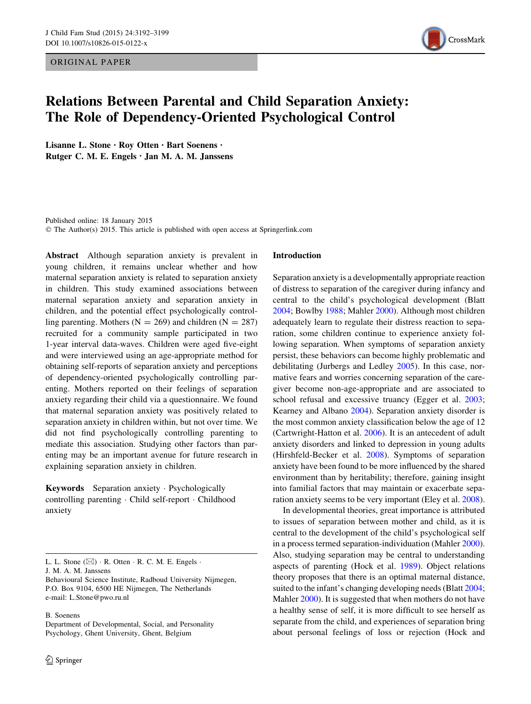ORIGINAL PAPER



# Relations Between Parental and Child Separation Anxiety: The Role of Dependency-Oriented Psychological Control

Lisanne L. Stone • Roy Otten • Bart Soenens • Rutger C. M. E. Engels • Jan M. A. M. Janssens

Published online: 18 January 2015 © The Author(s) 2015. This article is published with open access at Springerlink.com

Abstract Although separation anxiety is prevalent in young children, it remains unclear whether and how maternal separation anxiety is related to separation anxiety in children. This study examined associations between maternal separation anxiety and separation anxiety in children, and the potential effect psychologically controlling parenting. Mothers ( $N = 269$ ) and children ( $N = 287$ ) recruited for a community sample participated in two 1-year interval data-waves. Children were aged five-eight and were interviewed using an age-appropriate method for obtaining self-reports of separation anxiety and perceptions of dependency-oriented psychologically controlling parenting. Mothers reported on their feelings of separation anxiety regarding their child via a questionnaire. We found that maternal separation anxiety was positively related to separation anxiety in children within, but not over time. We did not find psychologically controlling parenting to mediate this association. Studying other factors than parenting may be an important avenue for future research in explaining separation anxiety in children.

Keywords Separation anxiety - Psychologically controlling parenting - Child self-report - Childhood anxiety

J. M. A. M. Janssens

B. Soenens

### Introduction

Separation anxiety is a developmentally appropriate reaction of distress to separation of the caregiver during infancy and central to the child's psychological development (Blatt [2004](#page-6-0); Bowlby [1988](#page-6-0); Mahler [2000](#page-6-0)). Although most children adequately learn to regulate their distress reaction to separation, some children continue to experience anxiety following separation. When symptoms of separation anxiety persist, these behaviors can become highly problematic and debilitating (Jurbergs and Ledley [2005](#page-6-0)). In this case, normative fears and worries concerning separation of the caregiver become non-age-appropriate and are associated to school refusal and excessive truancy (Egger et al. [2003](#page-6-0); Kearney and Albano [2004\)](#page-6-0). Separation anxiety disorder is the most common anxiety classification below the age of 12 (Cartwright-Hatton et al. [2006\)](#page-6-0). It is an antecedent of adult anxiety disorders and linked to depression in young adults (Hirshfeld-Becker et al. [2008](#page-6-0)). Symptoms of separation anxiety have been found to be more influenced by the shared environment than by heritability; therefore, gaining insight into familial factors that may maintain or exacerbate separation anxiety seems to be very important (Eley et al. [2008](#page-6-0)).

In developmental theories, great importance is attributed to issues of separation between mother and child, as it is central to the development of the child's psychological self in a process termed separation-individuation (Mahler [2000](#page-6-0)). Also, studying separation may be central to understanding aspects of parenting (Hock et al. [1989\)](#page-6-0). Object relations theory proposes that there is an optimal maternal distance, suited to the infant's changing developing needs (Blatt [2004](#page-6-0); Mahler [2000](#page-6-0)). It is suggested that when mothers do not have a healthy sense of self, it is more difficult to see herself as separate from the child, and experiences of separation bring about personal feelings of loss or rejection (Hock and

L. L. Stone  $(\boxtimes) \cdot R$ . Otten  $\cdot R$ . C. M. E. Engels  $\cdot$ 

Behavioural Science Institute, Radboud University Nijmegen, P.O. Box 9104, 6500 HE Nijmegen, The Netherlands e-mail: L.Stone@pwo.ru.nl

Department of Developmental, Social, and Personality Psychology, Ghent University, Ghent, Belgium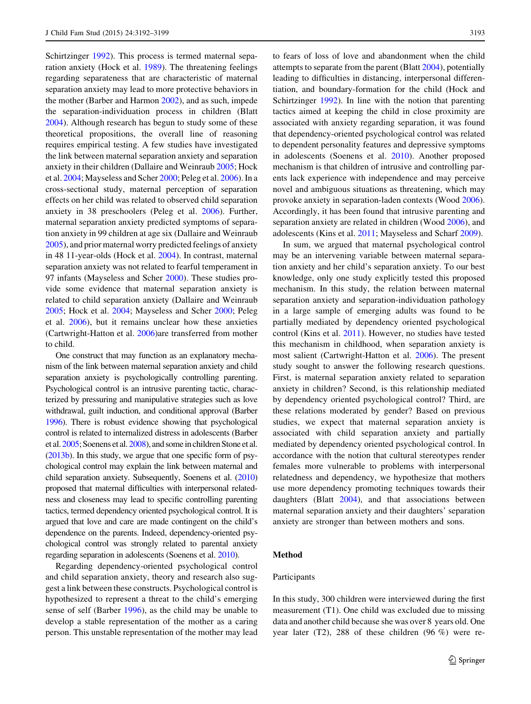Schirtzinger [1992\)](#page-6-0). This process is termed maternal separation anxiety (Hock et al. [1989\)](#page-6-0). The threatening feelings regarding separateness that are characteristic of maternal separation anxiety may lead to more protective behaviors in the mother (Barber and Harmon [2002\)](#page-5-0), and as such, impede the separation-individuation process in children (Blatt [2004\)](#page-6-0). Although research has begun to study some of these theoretical propositions, the overall line of reasoning requires empirical testing. A few studies have investigated the link between maternal separation anxiety and separation anxiety in their children (Dallaire and Weinraub [2005;](#page-6-0) Hock et al. [2004](#page-6-0); Mayseless and Scher [2000](#page-6-0); Peleg et al. [2006](#page-6-0)). In a cross-sectional study, maternal perception of separation effects on her child was related to observed child separation anxiety in 38 preschoolers (Peleg et al. [2006](#page-6-0)). Further, maternal separation anxiety predicted symptoms of separation anxiety in 99 children at age six (Dallaire and Weinraub [2005\)](#page-6-0), and prior maternal worry predicted feelings of anxiety in 48 11-year-olds (Hock et al. [2004\)](#page-6-0). In contrast, maternal separation anxiety was not related to fearful temperament in 97 infants (Mayseless and Scher [2000\)](#page-6-0). These studies provide some evidence that maternal separation anxiety is related to child separation anxiety (Dallaire and Weinraub [2005;](#page-6-0) Hock et al. [2004;](#page-6-0) Mayseless and Scher [2000;](#page-6-0) Peleg et al. [2006](#page-6-0)), but it remains unclear how these anxieties (Cartwright-Hatton et al. [2006\)](#page-6-0)are transferred from mother to child.

One construct that may function as an explanatory mechanism of the link between maternal separation anxiety and child separation anxiety is psychologically controlling parenting. Psychological control is an intrusive parenting tactic, characterized by pressuring and manipulative strategies such as love withdrawal, guilt induction, and conditional approval (Barber [1996](#page-5-0)). There is robust evidence showing that psychological control is related to internalized distress in adolescents (Barber et al. [2005;](#page-5-0) Soenens et al. [2008\)](#page-6-0), and some in children Stone et al. [\(2013b\)](#page-7-0). In this study, we argue that one specific form of psychological control may explain the link between maternal and child separation anxiety. Subsequently, Soenens et al. ([2010\)](#page-6-0) proposed that maternal difficulties with interpersonal relatedness and closeness may lead to specific controlling parenting tactics, termed dependency oriented psychological control. It is argued that love and care are made contingent on the child's dependence on the parents. Indeed, dependency-oriented psychological control was strongly related to parental anxiety regarding separation in adolescents (Soenens et al. [2010](#page-6-0)).

Regarding dependency-oriented psychological control and child separation anxiety, theory and research also suggest a link between these constructs. Psychological control is hypothesized to represent a threat to the child's emerging sense of self (Barber [1996\)](#page-5-0), as the child may be unable to develop a stable representation of the mother as a caring person. This unstable representation of the mother may lead to fears of loss of love and abandonment when the child attempts to separate from the parent (Blatt [2004\)](#page-6-0), potentially leading to difficulties in distancing, interpersonal differentiation, and boundary-formation for the child (Hock and Schirtzinger [1992\)](#page-6-0). In line with the notion that parenting tactics aimed at keeping the child in close proximity are associated with anxiety regarding separation, it was found that dependency-oriented psychological control was related to dependent personality features and depressive symptoms in adolescents (Soenens et al. [2010\)](#page-6-0). Another proposed mechanism is that children of intrusive and controlling parents lack experience with independence and may perceive novel and ambiguous situations as threatening, which may provoke anxiety in separation-laden contexts (Wood [2006](#page-7-0)). Accordingly, it has been found that intrusive parenting and separation anxiety are related in children (Wood [2006\)](#page-7-0), and adolescents (Kins et al. [2011](#page-6-0); Mayseless and Scharf [2009](#page-6-0)).

In sum, we argued that maternal psychological control may be an intervening variable between maternal separation anxiety and her child's separation anxiety. To our best knowledge, only one study explicitly tested this proposed mechanism. In this study, the relation between maternal separation anxiety and separation-individuation pathology in a large sample of emerging adults was found to be partially mediated by dependency oriented psychological control (Kins et al. [2011](#page-6-0)). However, no studies have tested this mechanism in childhood, when separation anxiety is most salient (Cartwright-Hatton et al. [2006\)](#page-6-0). The present study sought to answer the following research questions. First, is maternal separation anxiety related to separation anxiety in children? Second, is this relationship mediated by dependency oriented psychological control? Third, are these relations moderated by gender? Based on previous studies, we expect that maternal separation anxiety is associated with child separation anxiety and partially mediated by dependency oriented psychological control. In accordance with the notion that cultural stereotypes render females more vulnerable to problems with interpersonal relatedness and dependency, we hypothesize that mothers use more dependency promoting techniques towards their daughters (Blatt [2004\)](#page-6-0), and that associations between maternal separation anxiety and their daughters' separation anxiety are stronger than between mothers and sons.

# Method

# Participants

In this study, 300 children were interviewed during the first measurement (T1). One child was excluded due to missing data and another child because she was over 8 years old. One year later (T2), 288 of these children (96 %) were re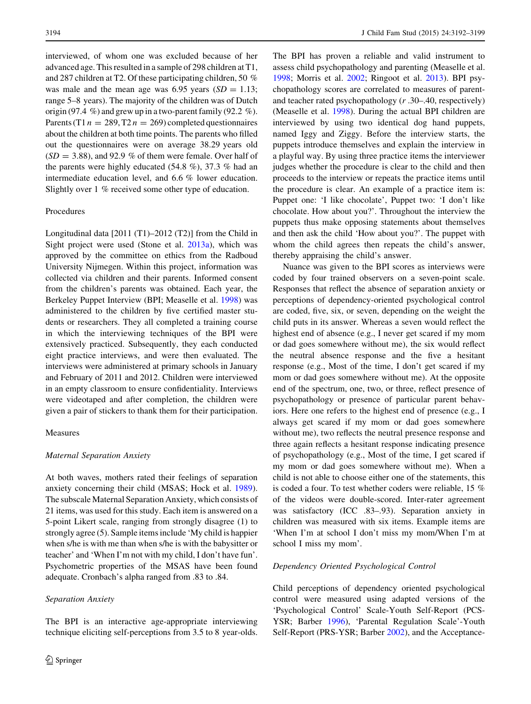interviewed, of whom one was excluded because of her advanced age. This resulted in a sample of 298 children at T1, and 287 children at T2. Of these participating children, 50 % was male and the mean age was  $6.95$  years  $(SD = 1.13;$ range 5–8 years). The majority of the children was of Dutch origin (97.4 %) and grew up in a two-parent family (92.2 %). Parents (T1  $n = 289$ , T2  $n = 269$ ) completed questionnaires about the children at both time points. The parents who filled out the questionnaires were on average 38.29 years old  $(SD = 3.88)$ , and 92.9 % of them were female. Over half of the parents were highly educated (54.8 %), 37.3 % had an intermediate education level, and 6.6 % lower education. Slightly over 1 % received some other type of education.

# Procedures

Longitudinal data [2011 (T1)–2012 (T2)] from the Child in Sight project were used (Stone et al. [2013a\)](#page-7-0), which was approved by the committee on ethics from the Radboud University Nijmegen. Within this project, information was collected via children and their parents. Informed consent from the children's parents was obtained. Each year, the Berkeley Puppet Interview (BPI; Measelle et al. [1998\)](#page-6-0) was administered to the children by five certified master students or researchers. They all completed a training course in which the interviewing techniques of the BPI were extensively practiced. Subsequently, they each conducted eight practice interviews, and were then evaluated. The interviews were administered at primary schools in January and February of 2011 and 2012. Children were interviewed in an empty classroom to ensure confidentiality. Interviews were videotaped and after completion, the children were given a pair of stickers to thank them for their participation.

## Measures

## Maternal Separation Anxiety

At both waves, mothers rated their feelings of separation anxiety concerning their child (MSAS; Hock et al. [1989](#page-6-0)). The subscale Maternal Separation Anxiety, which consists of 21 items, was used for this study. Each item is answered on a 5-point Likert scale, ranging from strongly disagree (1) to strongly agree (5). Sample items include 'My child is happier when s/he is with me than when s/he is with the babysitter or teacher' and 'When I'm not with my child, I don't have fun'. Psychometric properties of the MSAS have been found adequate. Cronbach's alpha ranged from .83 to .84.

## Separation Anxiety

The BPI is an interactive age-appropriate interviewing technique eliciting self-perceptions from 3.5 to 8 year-olds.

The BPI has proven a reliable and valid instrument to assess child psychopathology and parenting (Measelle et al. [1998](#page-6-0); Morris et al. [2002](#page-6-0); Ringoot et al. [2013\)](#page-6-0). BPI psychopathology scores are correlated to measures of parentand teacher rated psychopathology (r .30–.40, respectively) (Measelle et al. [1998\)](#page-6-0). During the actual BPI children are interviewed by using two identical dog hand puppets, named Iggy and Ziggy. Before the interview starts, the puppets introduce themselves and explain the interview in a playful way. By using three practice items the interviewer judges whether the procedure is clear to the child and then proceeds to the interview or repeats the practice items until the procedure is clear. An example of a practice item is: Puppet one: 'I like chocolate', Puppet two: 'I don't like chocolate. How about you?'. Throughout the interview the puppets thus make opposing statements about themselves and then ask the child 'How about you?'. The puppet with whom the child agrees then repeats the child's answer, thereby appraising the child's answer.

Nuance was given to the BPI scores as interviews were coded by four trained observers on a seven-point scale. Responses that reflect the absence of separation anxiety or perceptions of dependency-oriented psychological control are coded, five, six, or seven, depending on the weight the child puts in its answer. Whereas a seven would reflect the highest end of absence (e.g., I never get scared if my mom or dad goes somewhere without me), the six would reflect the neutral absence response and the five a hesitant response (e.g., Most of the time, I don't get scared if my mom or dad goes somewhere without me). At the opposite end of the spectrum, one, two, or three, reflect presence of psychopathology or presence of particular parent behaviors. Here one refers to the highest end of presence (e.g., I always get scared if my mom or dad goes somewhere without me), two reflects the neutral presence response and three again reflects a hesitant response indicating presence of psychopathology (e.g., Most of the time, I get scared if my mom or dad goes somewhere without me). When a child is not able to choose either one of the statements, this is coded a four. To test whether coders were reliable, 15 % of the videos were double-scored. Inter-rater agreement was satisfactory (ICC .83–.93). Separation anxiety in children was measured with six items. Example items are 'When I'm at school I don't miss my mom/When I'm at school I miss my mom'.

#### Dependency Oriented Psychological Control

Child perceptions of dependency oriented psychological control were measured using adapted versions of the 'Psychological Control' Scale-Youth Self-Report (PCS-YSR; Barber [1996](#page-5-0)), 'Parental Regulation Scale'-Youth Self-Report (PRS-YSR; Barber [2002](#page-5-0)), and the Acceptance-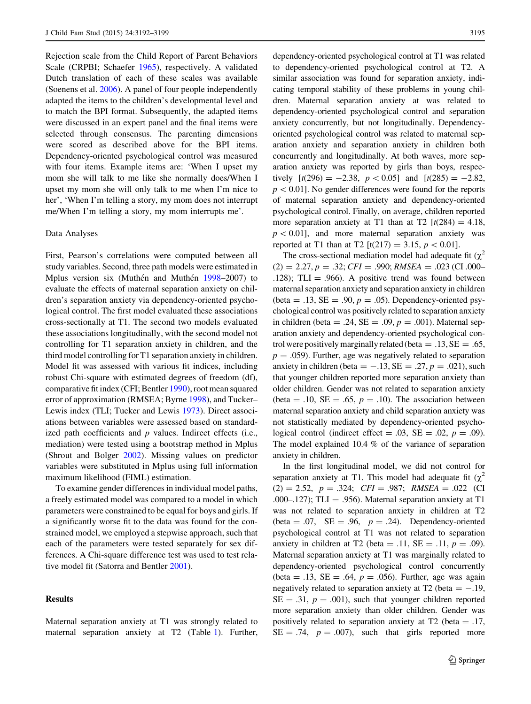Rejection scale from the Child Report of Parent Behaviors Scale (CRPBI; Schaefer [1965\)](#page-6-0), respectively. A validated Dutch translation of each of these scales was available (Soenens et al. [2006\)](#page-6-0). A panel of four people independently adapted the items to the children's developmental level and to match the BPI format. Subsequently, the adapted items were discussed in an expert panel and the final items were selected through consensus. The parenting dimensions were scored as described above for the BPI items. Dependency-oriented psychological control was measured with four items. Example items are: 'When I upset my mom she will talk to me like she normally does/When I upset my mom she will only talk to me when I'm nice to her', 'When I'm telling a story, my mom does not interrupt me/When I'm telling a story, my mom interrupts me'.

#### Data Analyses

First, Pearson's correlations were computed between all study variables. Second, three path models were estimated in Mplus version six (Muthén and Muthén [1998–](#page-6-0)2007) to evaluate the effects of maternal separation anxiety on children's separation anxiety via dependency-oriented psychological control. The first model evaluated these associations cross-sectionally at T1. The second two models evaluated these associations longitudinally, with the second model not controlling for T1 separation anxiety in children, and the third model controlling for T1 separation anxiety in children. Model fit was assessed with various fit indices, including robust Chi-square with estimated degrees of freedom (df), comparative fit index (CFI; Bentler [1990\)](#page-6-0), root mean squared error of approximation (RMSEA; Byrne [1998\)](#page-6-0), and Tucker– Lewis index (TLI; Tucker and Lewis [1973\)](#page-7-0). Direct associations between variables were assessed based on standardized path coefficients and  $p$  values. Indirect effects (i.e., mediation) were tested using a bootstrap method in Mplus (Shrout and Bolger [2002](#page-6-0)). Missing values on predictor variables were substituted in Mplus using full information maximum likelihood (FIML) estimation.

To examine gender differences in individual model paths, a freely estimated model was compared to a model in which parameters were constrained to be equal for boys and girls. If a significantly worse fit to the data was found for the constrained model, we employed a stepwise approach, such that each of the parameters were tested separately for sex differences. A Chi-square difference test was used to test relative model fit (Satorra and Bentler [2001\)](#page-6-0).

## Results

Maternal separation anxiety at T1 was strongly related to maternal separation anxiety at T2 (Table [1\)](#page-4-0). Further, dependency-oriented psychological control at T1 was related to dependency-oriented psychological control at T2. A similar association was found for separation anxiety, indicating temporal stability of these problems in young children. Maternal separation anxiety at was related to dependency-oriented psychological control and separation anxiety concurrently, but not longitudinally. Dependencyoriented psychological control was related to maternal separation anxiety and separation anxiety in children both concurrently and longitudinally. At both waves, more separation anxiety was reported by girls than boys, respectively  $[t(296) = -2.38, p < 0.05]$  and  $[t(285) = -2.82,$  $p\lt 0.01$ . No gender differences were found for the reports of maternal separation anxiety and dependency-oriented psychological control. Finally, on average, children reported more separation anxiety at T1 than at T2  $[t(284) = 4.18]$ ,  $p < 0.01$ , and more maternal separation anxiety was reported at T1 than at T2 [t(217) = 3.15,  $p < 0.01$ ].

The cross-sectional mediation model had adequate fit  $(\chi^2)$  $(2) = 2.27, p = .32; CFI = .990; RMSEA = .023$  (CI .000-.128); TLI = .966). A positive trend was found between maternal separation anxiety and separation anxiety in children (beta = .13,  $SE = .90$ ,  $p = .05$ ). Dependency-oriented psychological control was positively related to separation anxiety in children (beta = .24,  $SE = .09$ ,  $p = .001$ ). Maternal separation anxiety and dependency-oriented psychological control were positively marginally related (beta  $= .13$ , SE  $= .65$ ,  $p = .059$ ). Further, age was negatively related to separation anxiety in children (beta =  $-.13$ , SE = .27,  $p = .021$ ), such that younger children reported more separation anxiety than older children. Gender was not related to separation anxiety (beta = .10,  $SE = .65$ ,  $p = .10$ ). The association between maternal separation anxiety and child separation anxiety was not statistically mediated by dependency-oriented psychological control (indirect effect = .03,  $SE = .02$ ,  $p = .09$ ). The model explained 10.4 % of the variance of separation anxiety in children.

In the first longitudinal model, we did not control for separation anxiety at T1. This model had adequate fit  $(\chi^2)$  $(2) = 2.52$ ,  $p = .324$ ;  $CFI = .987$ ;  $RMSEA = .022$  (CI .000–.127); TLI = .956). Maternal separation anxiety at T1 was not related to separation anxiety in children at T2 (beta = .07,  $SE = .96$ ,  $p = .24$ ). Dependency-oriented psychological control at T1 was not related to separation anxiety in children at T2 (beta = .11,  $SE = .11$ ,  $p = .09$ ). Maternal separation anxiety at T1 was marginally related to dependency-oriented psychological control concurrently (beta = .13,  $SE = .64$ ,  $p = .056$ ). Further, age was again negatively related to separation anxiety at  $T2$  (beta  $= -.19$ ,  $SE = .31$ ,  $p = .001$ ), such that younger children reported more separation anxiety than older children. Gender was positively related to separation anxiety at  $T2$  (beta = .17,  $SE = .74$ ,  $p = .007$ , such that girls reported more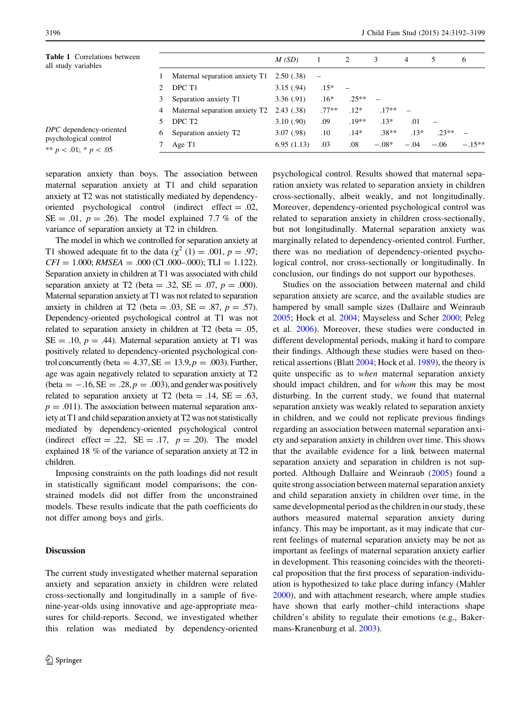<span id="page-4-0"></span>

| <b>Table 1</b> Correlations between<br>all study variables                     |    |                                | M(SD)      |                          | 2       | 3       | 4      | 5                        | 6        |
|--------------------------------------------------------------------------------|----|--------------------------------|------------|--------------------------|---------|---------|--------|--------------------------|----------|
| DPC dependency-oriented<br>psychological control<br>** $p < .01$ ; * $p < .05$ |    | Maternal separation anxiety T1 | 2.50(.38)  | $\overline{\phantom{0}}$ |         |         |        |                          |          |
|                                                                                | 2  | DPC T1                         | 3.15(.94)  | $.15*$                   |         |         |        |                          |          |
|                                                                                |    | Separation anxiety T1          | 3.36(.91)  | $.16*$                   | $.25**$ |         |        |                          |          |
|                                                                                | 4  | Maternal separation anxiety T2 | 2.43(0.38) | $.77**$                  | $.12*$  | $.17**$ |        |                          |          |
|                                                                                | 5. | DPC T <sub>2</sub>             | 3.10(0.90) | .09                      | $.19**$ | $.13*$  | .01    | $\overline{\phantom{0}}$ |          |
|                                                                                | 6  | Separation anxiety T2          | 3.07(0.98) | .10                      | $.14*$  | $.38**$ | $.13*$ | $.23**$                  |          |
|                                                                                |    | Age T1                         | 6.95(1.13) | .03                      | .08     | $-.08*$ | $-.04$ | $-.06$                   | $-.15**$ |

separation anxiety than boys. The association between maternal separation anxiety at T1 and child separation anxiety at T2 was not statistically mediated by dependencyoriented psychological control (indirect effect = .02,  $SE = .01$ ,  $p = .26$ ). The model explained 7.7 % of the variance of separation anxiety at T2 in children.

The model in which we controlled for separation anxiety at T1 showed adequate fit to the data ( $\chi^2$  (1) = .001, p = .97;  $CFI = 1.000; RMSEA = .000$  (CI .000-.000); TLI = 1.122). Separation anxiety in children at T1 was associated with child separation anxiety at T2 (beta = .32, SE = .07,  $p = .000$ ). Maternal separation anxiety at T1 was not related to separation anxiety in children at T2 (beta = .03,  $SE = .87$ ,  $p = .57$ ). Dependency-oriented psychological control at T1 was not related to separation anxiety in children at  $T2$  (beta = .05,  $SE = .10$ ,  $p = .44$ ). Maternal separation anxiety at T1 was positively related to dependency-oriented psychological control concurrently (beta =  $4.37$ ,  $SE = 13.9$ ,  $p = .003$ ). Further, age was again negatively related to separation anxiety at T2  $(\text{beta} = -.16, \text{SE} = .28, p = .003)$ , and gender was positively related to separation anxiety at T2 (beta  $= .14$ , SE  $= .63$ ,  $p = .011$ ). The association between maternal separation anxiety at T1 and child separation anxiety at T2 was not statistically mediated by dependency-oriented psychological control (indirect effect = .22,  $SE = .17$ ,  $p = .20$ ). The model explained 18 % of the variance of separation anxiety at T2 in children.

Imposing constraints on the path loadings did not result in statistically significant model comparisons; the constrained models did not differ from the unconstrained models. These results indicate that the path coefficients do not differ among boys and girls.

#### **Discussion**

The current study investigated whether maternal separation anxiety and separation anxiety in children were related cross-sectionally and longitudinally in a sample of fivenine-year-olds using innovative and age-appropriate measures for child-reports. Second, we investigated whether this relation was mediated by dependency-oriented

psychological control. Results showed that maternal separation anxiety was related to separation anxiety in children cross-sectionally, albeit weakly, and not longitudinally. Moreover, dependency-oriented psychological control was related to separation anxiety in children cross-sectionally, but not longitudinally. Maternal separation anxiety was marginally related to dependency-oriented control. Further, there was no mediation of dependency-oriented psychological control, nor cross-sectionally or longitudinally. In conclusion, our findings do not support our hypotheses.

Studies on the association between maternal and child separation anxiety are scarce, and the available studies are hampered by small sample sizes (Dallaire and Weinraub [2005](#page-6-0); Hock et al. [2004;](#page-6-0) Mayseless and Scher [2000;](#page-6-0) Peleg et al. [2006](#page-6-0)). Moreover, these studies were conducted in different developmental periods, making it hard to compare their findings. Although these studies were based on theoretical assertions (Blatt [2004](#page-6-0); Hock et al. [1989](#page-6-0)), the theory is quite unspecific as to when maternal separation anxiety should impact children, and for whom this may be most disturbing. In the current study, we found that maternal separation anxiety was weakly related to separation anxiety in children, and we could not replicate previous findings regarding an association between maternal separation anxiety and separation anxiety in children over time. This shows that the available evidence for a link between maternal separation anxiety and separation in children is not supported. Although Dallaire and Weinraub [\(2005](#page-6-0)) found a quite strong association between maternal separation anxiety and child separation anxiety in children over time, in the same developmental period as the children in our study, these authors measured maternal separation anxiety during infancy. This may be important, as it may indicate that current feelings of maternal separation anxiety may be not as important as feelings of maternal separation anxiety earlier in development. This reasoning coincides with the theoretical proposition that the first process of separation-individuation is hypothesized to take place during infancy (Mahler [2000](#page-6-0)), and with attachment research, where ample studies have shown that early mother–child interactions shape children's ability to regulate their emotions (e.g., Bakermans-Kranenburg et al. [2003\)](#page-5-0).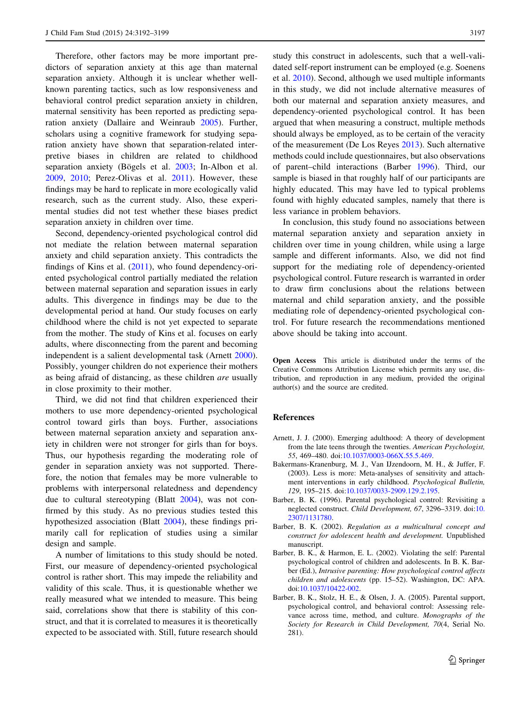<span id="page-5-0"></span>Therefore, other factors may be more important predictors of separation anxiety at this age than maternal separation anxiety. Although it is unclear whether wellknown parenting tactics, such as low responsiveness and behavioral control predict separation anxiety in children, maternal sensitivity has been reported as predicting separation anxiety (Dallaire and Weinraub [2005](#page-6-0)). Further, scholars using a cognitive framework for studying separation anxiety have shown that separation-related interpretive biases in children are related to childhood separation anxiety (Bögels et al. [2003;](#page-6-0) In-Albon et al. [2009,](#page-6-0) [2010;](#page-6-0) Perez-Olivas et al. [2011\)](#page-6-0). However, these findings may be hard to replicate in more ecologically valid research, such as the current study. Also, these experimental studies did not test whether these biases predict separation anxiety in children over time.

Second, dependency-oriented psychological control did not mediate the relation between maternal separation anxiety and child separation anxiety. This contradicts the findings of Kins et al. [\(2011](#page-6-0)), who found dependency-oriented psychological control partially mediated the relation between maternal separation and separation issues in early adults. This divergence in findings may be due to the developmental period at hand. Our study focuses on early childhood where the child is not yet expected to separate from the mother. The study of Kins et al. focuses on early adults, where disconnecting from the parent and becoming independent is a salient developmental task (Arnett 2000). Possibly, younger children do not experience their mothers as being afraid of distancing, as these children are usually in close proximity to their mother.

Third, we did not find that children experienced their mothers to use more dependency-oriented psychological control toward girls than boys. Further, associations between maternal separation anxiety and separation anxiety in children were not stronger for girls than for boys. Thus, our hypothesis regarding the moderating role of gender in separation anxiety was not supported. Therefore, the notion that females may be more vulnerable to problems with interpersonal relatedness and dependency due to cultural stereotyping (Blatt [2004\)](#page-6-0), was not confirmed by this study. As no previous studies tested this hypothesized association (Blatt [2004\)](#page-6-0), these findings primarily call for replication of studies using a similar design and sample.

A number of limitations to this study should be noted. First, our measure of dependency-oriented psychological control is rather short. This may impede the reliability and validity of this scale. Thus, it is questionable whether we really measured what we intended to measure. This being said, correlations show that there is stability of this construct, and that it is correlated to measures it is theoretically expected to be associated with. Still, future research should study this construct in adolescents, such that a well-validated self-report instrument can be employed (e.g. Soenens et al. [2010\)](#page-6-0). Second, although we used multiple informants in this study, we did not include alternative measures of both our maternal and separation anxiety measures, and dependency-oriented psychological control. It has been argued that when measuring a construct, multiple methods should always be employed, as to be certain of the veracity of the measurement (De Los Reyes [2013\)](#page-6-0). Such alternative methods could include questionnaires, but also observations of parent–child interactions (Barber 1996). Third, our sample is biased in that roughly half of our participants are highly educated. This may have led to typical problems found with highly educated samples, namely that there is less variance in problem behaviors.

In conclusion, this study found no associations between maternal separation anxiety and separation anxiety in children over time in young children, while using a large sample and different informants. Also, we did not find support for the mediating role of dependency-oriented psychological control. Future research is warranted in order to draw firm conclusions about the relations between maternal and child separation anxiety, and the possible mediating role of dependency-oriented psychological control. For future research the recommendations mentioned above should be taking into account.

Open Access This article is distributed under the terms of the Creative Commons Attribution License which permits any use, distribution, and reproduction in any medium, provided the original author(s) and the source are credited.

## References

- Arnett, J. J. (2000). Emerging adulthood: A theory of development from the late teens through the twenties. American Psychologist, 55, 469–480. doi[:10.1037/0003-066X.55.5.469.](http://dx.doi.org/10.1037/0003-066X.55.5.469)
- Bakermans-Kranenburg, M. J., Van IJzendoorn, M. H., & Juffer, F. (2003). Less is more: Meta-analyses of sensitivity and attachment interventions in early childhood. Psychological Bulletin, 129, 195–215. doi:[10.1037/0033-2909.129.2.195](http://dx.doi.org/10.1037/0033-2909.129.2.195).
- Barber, B. K. (1996). Parental psychological control: Revisiting a neglected construct. Child Development, 67, 3296–3319. doi:[10.](http://dx.doi.org/10.2307/1131780) [2307/1131780](http://dx.doi.org/10.2307/1131780).
- Barber, B. K. (2002). Regulation as a multicultural concept and construct for adolescent health and development. Unpublished manuscript.
- Barber, B. K., & Harmon, E. L. (2002). Violating the self: Parental psychological control of children and adolescents. In B. K. Barber (Ed.), Intrusive parenting: How psychological control affects children and adolescents (pp. 15–52). Washington, DC: APA. doi[:10.1037/10422-002.](http://dx.doi.org/10.1037/10422-002)
- Barber, B. K., Stolz, H. E., & Olsen, J. A. (2005). Parental support, psychological control, and behavioral control: Assessing relevance across time, method, and culture. Monographs of the Society for Research in Child Development, 70(4, Serial No. 281).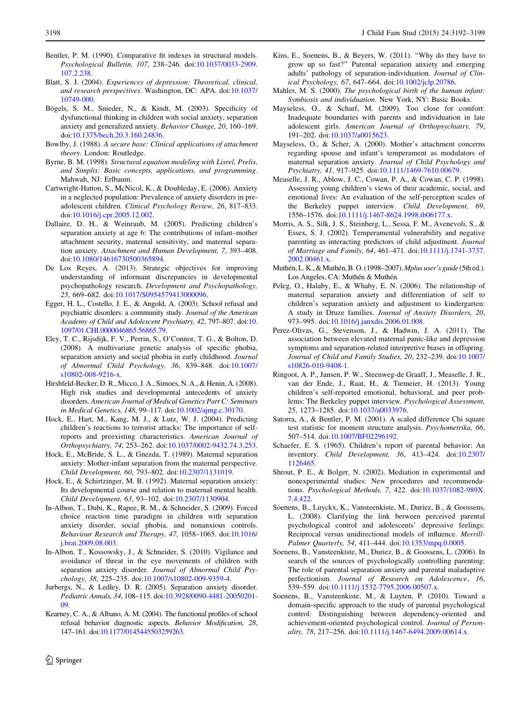- <span id="page-6-0"></span>Bentler, P. M. (1990). Comparative fit indexes in structural models. Psychological Bulletin, 107, 238–246. doi[:10.1037/0033-2909.](http://dx.doi.org/10.1037/0033-2909.107.2.238) [107.2.238.](http://dx.doi.org/10.1037/0033-2909.107.2.238)
- Blatt, S. J. (2004). Experiences of depression: Theoretical, clinical, and research perspectives. Washington, DC: APA. doi[:10.1037/](http://dx.doi.org/10.1037/10749-000) [10749-000.](http://dx.doi.org/10.1037/10749-000)
- Bögels, S. M., Snieder, N., & Kindt, M. (2003). Specificity of dysfunctional thinking in children with social anxiety, separation anxiety and generalized anxiety. Behavior Change, 20, 160–169. doi[:10.1375/bech.20.3.160.24836](http://dx.doi.org/10.1375/bech.20.3.160.24836).
- Bowlby, J. (1988). A secure base: Clinical applications of attachment theory. London: Routledge.
- Byrne, B. M. (1998). Structural equation modeling with Lisrel, Prelis, and Simplis: Basic concepts, applications, and programming. Mahwah, NJ: Erlbaum.
- Cartwright-Hatton, S., McNicol, K., & Doubleday, E. (2006). Anxiety in a neglected population: Prevalence of anxiety disorders in preadolescent children. Clinical Psychology Review, 26, 817–833. doi[:10.1016/j.cpr.2005.12.002.](http://dx.doi.org/10.1016/j.cpr.2005.12.002)
- Dallaire, D. H., & Weinraub, M. (2005). Predicting children's separation anxiety at age 6: The contributions of infant–mother attachment security, maternal sensitivity, and maternal separation anxiety. Attachment and Human Development, 7, 393–408. doi[:10.1080/14616730500365894](http://dx.doi.org/10.1080/14616730500365894).
- De Los Reyes, A. (2013). Strategic objectives for improving understanding of informant discrepancies in developmental psychopathology research. Development and Psychopathology, 25, 669–682. doi[:10.1017/S0954579413000096.](http://dx.doi.org/10.1017/S0954579413000096)
- Egger, H. L., Costello, J. E., & Angold, A. (2003). School refusal and psychiatric disorders: a community study. Journal of the American Academy of Child and Adolescent Psychiatry, 42, 797–807. doi[:10.](http://dx.doi.org/10.1097/01.CHI.0000046865.56865.79) [1097/01.CHI.0000046865.56865.79.](http://dx.doi.org/10.1097/01.CHI.0000046865.56865.79)
- Eley, T. C., Rijsdijk, F. V., Perrin, S., O'Connor, T. G., & Bolton, D. (2008). A multivariate genetic analysis of specific phobia, separation anxiety and social phobia in early childhood. Journal of Abnormal Child Psychology, 36, 839–848. doi[:10.1007/](http://dx.doi.org/10.1007/s10802-008-9216-x) [s10802-008-9216-x.](http://dx.doi.org/10.1007/s10802-008-9216-x)
- Hirshfeld-Becker, D. R., Micco, J. A., Simoes, N. A., & Henin, A. (2008). High risk studies and developmental antecedents of anxiety disorders. American Journal of Medical Genetics Part C: Seminars in Medical Genetics, 148, 99–117. doi:[10.1002/ajmg.c.30170](http://dx.doi.org/10.1002/ajmg.c.30170).
- Hock, E., Hart, M., Kang, M. J., & Lutz, W. J. (2004). Predicting children's reactions to terrorist attacks: The importance of selfreports and preexisting characteristics. American Journal of Orthopsychiatry, 74, 253–262. doi:[10.1037/0002-9432.74.3.253](http://dx.doi.org/10.1037/0002-9432.74.3.253).
- Hock, E., McBride, S. L., & Gnezda, T. (1989). Maternal separation anxiety: Mother-infant separation from the maternal perspective. Child Development, 60, 793–802. doi:[10.2307/1131019](http://dx.doi.org/10.2307/1131019).
- Hock, E., & Schirtzinger, M. B. (1992). Maternal separation anxiety: Its developmental course and relation to maternal mental health. Child Development, 63, 93–102. doi[:10.2307/1130904](http://dx.doi.org/10.2307/1130904).
- In-Albon, T., Dubi, K., Rapee, R. M., & Schneider, S. (2009). Forced choice reaction time paradigm in children with separation anxiety disorder, social phobia, and nonanxious controls. Behaviour Research and Therapy, 47, 1058–1065. doi[:10.1016/](http://dx.doi.org/10.1016/j.brat.2009.08.003) [j.brat.2009.08.003](http://dx.doi.org/10.1016/j.brat.2009.08.003).
- In-Albon, T., Kossowsky, J., & Schneider, S. (2010). Vigilance and avoidance of threat in the eye movements of children with separation anxiety disorder. Journal of Abnormal Child Psychology, 38, 225–235. doi[:10.1007/s10802-009-9359-4.](http://dx.doi.org/10.1007/s10802-009-9359-4)
- Jurbergs, N., & Ledley, D. R. (2005). Separation anxiety disorder. Pediatric Annals, 34, 108–115. doi[:10.3928/0090-4481-20050201-](http://dx.doi.org/10.3928/0090-4481-20050201-09) [09](http://dx.doi.org/10.3928/0090-4481-20050201-09).
- Kearney, C. A., & Albano, A. M. (2004). The functional profiles of school refusal behavior diagnostic aspects. Behavior Modification, 28, 147–161. doi:[10.1177/0145445503259263](http://dx.doi.org/10.1177/0145445503259263).
- Kins, E., Soenens, B., & Beyers, W. (2011). ''Why do they have to grow up so fast?'' Parental separation anxiety and emerging adults' pathology of separation-individuation. Journal of Clinical Psychology, 67, 647–664. doi[:10.1002/jclp.20786](http://dx.doi.org/10.1002/jclp.20786).
- Mahler, M. S. (2000). The psychological birth of the human infant: Symbiosis and individuation. New York, NY: Basic Books.
- Mayseless, O., & Scharf, M. (2009). Too close for comfort: Inadequate boundaries with parents and individuation in late adolescent girls. American Journal of Orthopsychiatry, 79, 191–202. doi:[10.1037/a0015623](http://dx.doi.org/10.1037/a0015623).
- Mayseless, O., & Scher, A. (2000). Mother's attachment concerns regarding spouse and infant's temperament as modulators of maternal separation anxiety. Journal of Child Psychology and Psychiatry, 41, 917–925. doi:[10.1111/1469-7610.00679.](http://dx.doi.org/10.1111/1469-7610.00679)
- Measelle, J. R., Ablow, J. C., Cowan, P. A., & Cowan, C. P. (1998). Assessing young children's views of their academic, social, and emotional lives: An evaluation of the self-perception scales of the Berkeley puppet interview. Child Development, 69, 1556–1576. doi[:10.1111/j.1467-8624.1998.tb06177.x.](http://dx.doi.org/10.1111/j.1467-8624.1998.tb06177.x)
- Morris, A. S., Silk, J. S., Steinberg, L., Sessa, F. M., Avenevoli, S., & Essex, S. J. (2002). Temperamental vulnerability and negative parenting as interacting predictors of child adjustment. Journal of Marriage and Family, 64, 461–471. doi[:10.1111/j.1741-3737.](http://dx.doi.org/10.1111/j.1741-3737.2002.00461.x) [2002.00461.x.](http://dx.doi.org/10.1111/j.1741-3737.2002.00461.x)
- Muthén, L. K., & Muthén, B. O. (1998–2007). Mplus user's guide (5th ed.). Los Angeles, CA: Muthén & Muthén.
- Peleg, O., Halaby, E., & Whaby, E. N. (2006). The relationship of maternal separation anxiety and differentiation of self to children's separation anxiety and adjustment to kindergarten: A study in Druze families. Journal of Anxiety Disorders, 20, 973–995. doi:[10.1016/j.janxdis.2006.01.008](http://dx.doi.org/10.1016/j.janxdis.2006.01.008).
- Perez-Olivas, G., Stevenson, J., & Hadwin, J. A. (2011). The association between elevated maternal panic-like and depression symptoms and separation-related interpretive biases in offspring. Journal of Child and Family Studies, 20, 232–239. doi[:10.1007/](http://dx.doi.org/10.1007/s10826-010-9408-1) [s10826-010-9408-1.](http://dx.doi.org/10.1007/s10826-010-9408-1)
- Ringoot, A. P., Jansen, P. W., Steenweg-de Graaff, J., Measelle, J. R., van der Ende, J., Raat, H., & Tiemeier, H. (2013). Young children's self-reported emotional, behavioral, and peer problems: The Berkeley puppet interview. Psychological Assessment, 25, 1273–1285. doi:[10.1037/a0033976](http://dx.doi.org/10.1037/a0033976).
- Satorra, A., & Bentler, P. M. (2001). A scaled difference Chi square test statistic for moment structure analysis. Psychometrika, 66, 507–514. doi:[10.1007/BF02296192](http://dx.doi.org/10.1007/BF02296192).
- Schaefer, E. S. (1965). Children's report of parental behavior: An inventory. Child Development, 36, 413–424. doi[:10.2307/](http://dx.doi.org/10.2307/1126465) [1126465.](http://dx.doi.org/10.2307/1126465)
- Shrout, P. E., & Bolger, N. (2002). Mediation in experimental and nonexperimental studies: New procedures and recommendations. Psychological Methods, 7, 422. doi:[10.1037/1082-989X.](http://dx.doi.org/10.1037/1082-989X.7.4.422) [7.4.422.](http://dx.doi.org/10.1037/1082-989X.7.4.422)
- Soenens, B., Luyckx, K., Vansteenkiste, M., Duriez, B., & Goossens, L. (2008). Clarifying the link between perceived parental psychological control and adolescents' depressive feelings: Reciprocal versus unidirectional models of influence. Merrill-Palmer Quarterly, 54, 411–444. doi:[10.1353/mpq.0.0005.](http://dx.doi.org/10.1353/mpq.0.0005)
- Soenens, B., Vansteenkiste, M., Duriez, B., & Goossens, L. (2006). In search of the sources of psychologically controlling parenting: The role of parental separation anxiety and parental maladaptive perfectionism. Journal of Research on Adolescence, 16, 539–559. doi:[10.1111/j.1532-7795.2006.00507.x.](http://dx.doi.org/10.1111/j.1532-7795.2006.00507.x)
- Soenens, B., Vansteenkiste, M., & Luyten, P. (2010). Toward a domain-specific approach to the study of parental psychological control: Distinguishing between dependency-oriented and achievement-oriented psychological control. Journal of Personality, 78, 217–256. doi:[10.1111/j.1467-6494.2009.00614.x](http://dx.doi.org/10.1111/j.1467-6494.2009.00614.x).